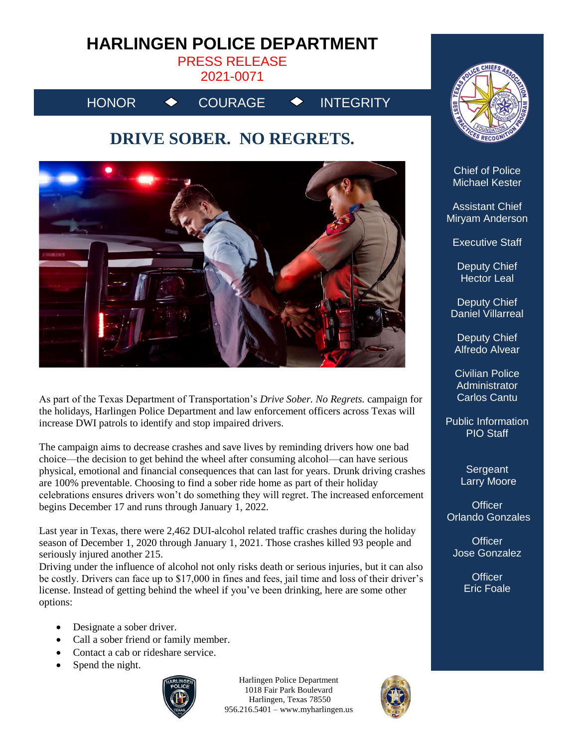## **HARLINGEN POLICE DEPARTMENT**

## PRESS RELEASE

2021-0071

HONOR  $\rightarrow$  COURAGE  $\rightarrow$  INTEGRITY

## **DRIVE SOBER. NO REGRETS.**



As part of the Texas Department of Transportation's *Drive Sober. No Regrets.* campaign for the holidays, Harlingen Police Department and law enforcement officers across Texas will increase DWI patrols to identify and stop impaired drivers.

The campaign aims to decrease crashes and save lives by reminding drivers how one bad choice—the decision to get behind the wheel after consuming alcohol—can have serious physical, emotional and financial consequences that can last for years. Drunk driving crashes are 100% preventable. Choosing to find a sober ride home as part of their holiday celebrations ensures drivers won't do something they will regret. The increased enforcement begins December 17 and runs through January 1, 2022.

Last year in Texas, there were 2,462 DUI-alcohol related traffic crashes during the holiday season of December 1, 2020 through January 1, 2021. Those crashes killed 93 people and seriously injured another 215.

Driving under the influence of alcohol not only risks death or serious injuries, but it can also be costly. Drivers can face up to \$17,000 in fines and fees, jail time and loss of their driver's license. Instead of getting behind the wheel if you've been drinking, here are some other options:

- Designate a sober driver.
- Call a sober friend or family member.
- Contact a cab or rideshare service.
- Spend the night.



Harlingen Police Department 1018 Fair Park Boulevard Harlingen, Texas 78550 956.216.5401 – www.myharlingen.us





Chief of Police Michael Kester

Assistant Chief Miryam Anderson

Executive Staff

Deputy Chief Hector Leal

Deputy Chief Daniel Villarreal

Deputy Chief Alfredo Alvear

Civilian Police **Administrator** Carlos Cantu

Public Information PIO Staff

> **Sergeant** Larry Moore

**Officer** Orlando Gonzales

**Officer** Jose Gonzalez

> **Officer** Eric Foale